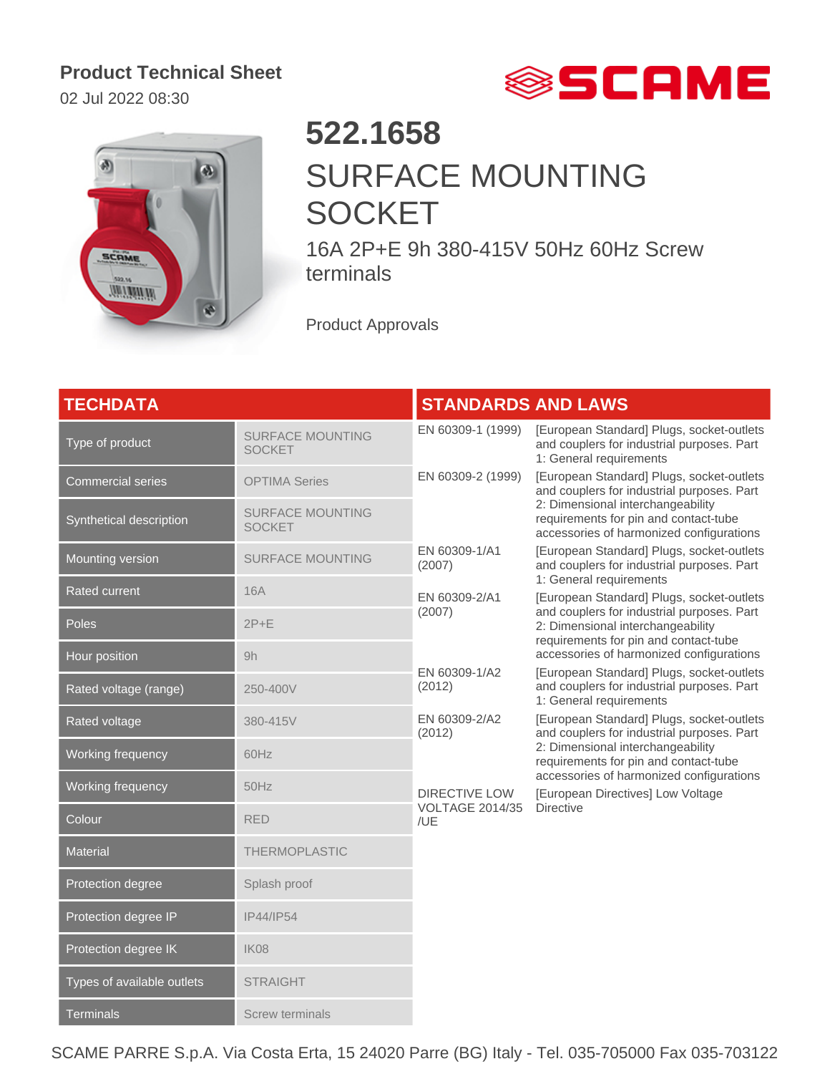## **Product Technical Sheet**

02 Jul 2022 08:30





## **522.1658** SURFACE MOUNTING **SOCKET**

16A 2P+E 9h 380-415V 50Hz 60Hz Screw terminals

Product Approvals

| <b>TECHDATA</b>            |                                          | <b>STANDARDS AND LAWS</b>                                                                                                                                  |                                                                                                                                                                                                                   |
|----------------------------|------------------------------------------|------------------------------------------------------------------------------------------------------------------------------------------------------------|-------------------------------------------------------------------------------------------------------------------------------------------------------------------------------------------------------------------|
| Type of product            | <b>SURFACE MOUNTING</b><br><b>SOCKET</b> | EN 60309-1 (1999)                                                                                                                                          | [European Standard] Plugs, socket-outlets<br>and couplers for industrial purposes. Part<br>1: General requirements                                                                                                |
| <b>Commercial series</b>   | <b>OPTIMA Series</b>                     | EN 60309-2 (1999)                                                                                                                                          | [European Standard] Plugs, socket-outlets<br>and couplers for industrial purposes. Part<br>2: Dimensional interchangeability<br>requirements for pin and contact-tube<br>accessories of harmonized configurations |
| Synthetical description    | <b>SURFACE MOUNTING</b><br><b>SOCKET</b> |                                                                                                                                                            |                                                                                                                                                                                                                   |
| Mounting version           | <b>SURFACE MOUNTING</b>                  | EN 60309-1/A1<br>(2007)                                                                                                                                    | [European Standard] Plugs, socket-outlets<br>and couplers for industrial purposes. Part<br>1: General requirements                                                                                                |
| <b>Rated current</b>       | <b>16A</b>                               | EN 60309-2/A1<br>and couplers for industrial purposes. Part<br>(2007)<br>2: Dimensional interchangeability<br>requirements for pin and contact-tube        | [European Standard] Plugs, socket-outlets                                                                                                                                                                         |
| Poles                      | $2P+E$                                   |                                                                                                                                                            |                                                                                                                                                                                                                   |
| Hour position              | 9h                                       |                                                                                                                                                            | accessories of harmonized configurations                                                                                                                                                                          |
| Rated voltage (range)      | 250-400V                                 | EN 60309-1/A2<br>(2012)                                                                                                                                    | [European Standard] Plugs, socket-outlets<br>and couplers for industrial purposes. Part<br>1: General requirements                                                                                                |
| Rated voltage              | 380-415V                                 | EN 60309-2/A2<br>[European Standard] Plugs, socket-outlets<br>and couplers for industrial purposes. Part<br>(2012)                                         |                                                                                                                                                                                                                   |
| Working frequency          | 60Hz                                     |                                                                                                                                                            | 2: Dimensional interchangeability<br>requirements for pin and contact-tube                                                                                                                                        |
| Working frequency          | 50Hz                                     | accessories of harmonized configurations<br><b>DIRECTIVE LOW</b><br>[European Directives] Low Voltage<br><b>Directive</b><br><b>VOLTAGE 2014/35</b><br>/UE |                                                                                                                                                                                                                   |
| Colour                     | <b>RED</b>                               |                                                                                                                                                            |                                                                                                                                                                                                                   |
| <b>Material</b>            | <b>THERMOPLASTIC</b>                     |                                                                                                                                                            |                                                                                                                                                                                                                   |
| Protection degree          | Splash proof                             |                                                                                                                                                            |                                                                                                                                                                                                                   |
| Protection degree IP       | IP44/IP54                                |                                                                                                                                                            |                                                                                                                                                                                                                   |
| Protection degree IK       | <b>IK08</b>                              |                                                                                                                                                            |                                                                                                                                                                                                                   |
| Types of available outlets | <b>STRAIGHT</b>                          |                                                                                                                                                            |                                                                                                                                                                                                                   |
| <b>Terminals</b>           | Screw terminals                          |                                                                                                                                                            |                                                                                                                                                                                                                   |